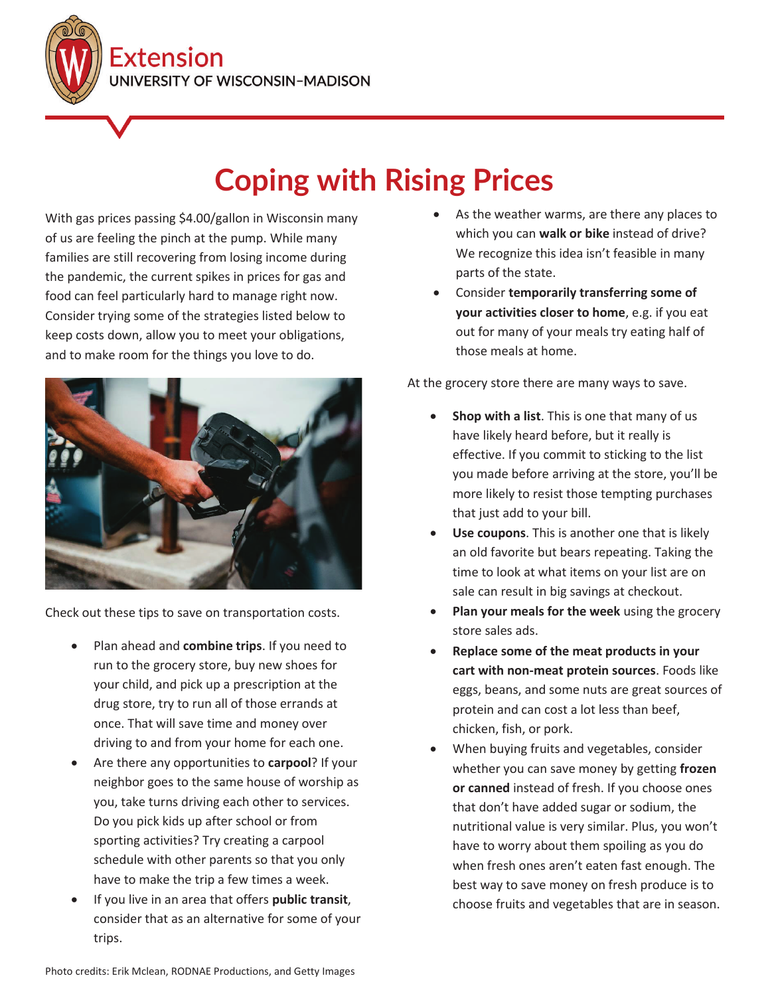Extension **INIVERSITY OF WISCONSIN-MADISON** 

## **Coping with Rising Prices**

With gas prices passing \$4.00/gallon in Wisconsin many of us are feeling the pinch at the pump. While many families are still recovering from losing income during the pandemic, the current spikes in prices for gas and food can feel particularly hard to manage right now. Consider trying some of the strategies listed below to keep costs down, allow you to meet your obligations, and to make room for the things you love to do.



Check out these tips to save on transportation costs.

- Plan ahead and **combine trips**. If you need to run to the grocery store, buy new shoes for your child, and pick up a prescription at the drug store, try to run all of those errands at once. That will save time and money over driving to and from your home for each one.
- **•** Are there any opportunities to **carpool**? If your neighbor goes to the same house of worship as you, take turns driving each other to services. Do you pick kids up after school or from sporting activities? Try creating a carpool schedule with other parents so that you only have to make the trip a few times a week.
- x If you live in an area that offers **public transit**, consider that as an alternative for some of your trips.
- As the weather warms, are there any places to which you can **walk or bike** instead of drive? We recognize this idea isn't feasible in many parts of the state.
- x Consider **temporarily transferring some of your activities closer to home**, e.g. if you eat out for many of your meals try eating half of those meals at home.

At the grocery store there are many ways to save.

- **Shop with a list**. This is one that many of us have likely heard before, but it really is effective. If you commit to sticking to the list you made before arriving at the store, you'll be more likely to resist those tempting purchases that just add to your bill.
- **Use coupons**. This is another one that is likely an old favorite but bears repeating. Taking the time to look at what items on your list are on sale can result in big savings at checkout.
- **Plan your meals for the week** using the grocery store sales ads.
- x **Replace some of the meat products in your cart with non-meat protein sources**. Foods like eggs, beans, and some nuts are great sources of protein and can cost a lot less than beef, chicken, fish, or pork.
- x When buying fruits and vegetables, consider whether you can save money by getting **frozen or canned** instead of fresh. If you choose ones that don't have added sugar or sodium, the nutritional value is very similar. Plus, you won't have to worry about them spoiling as you do when fresh ones aren't eaten fast enough. The best way to save money on fresh produce is to choose fruits and vegetables that are in season.